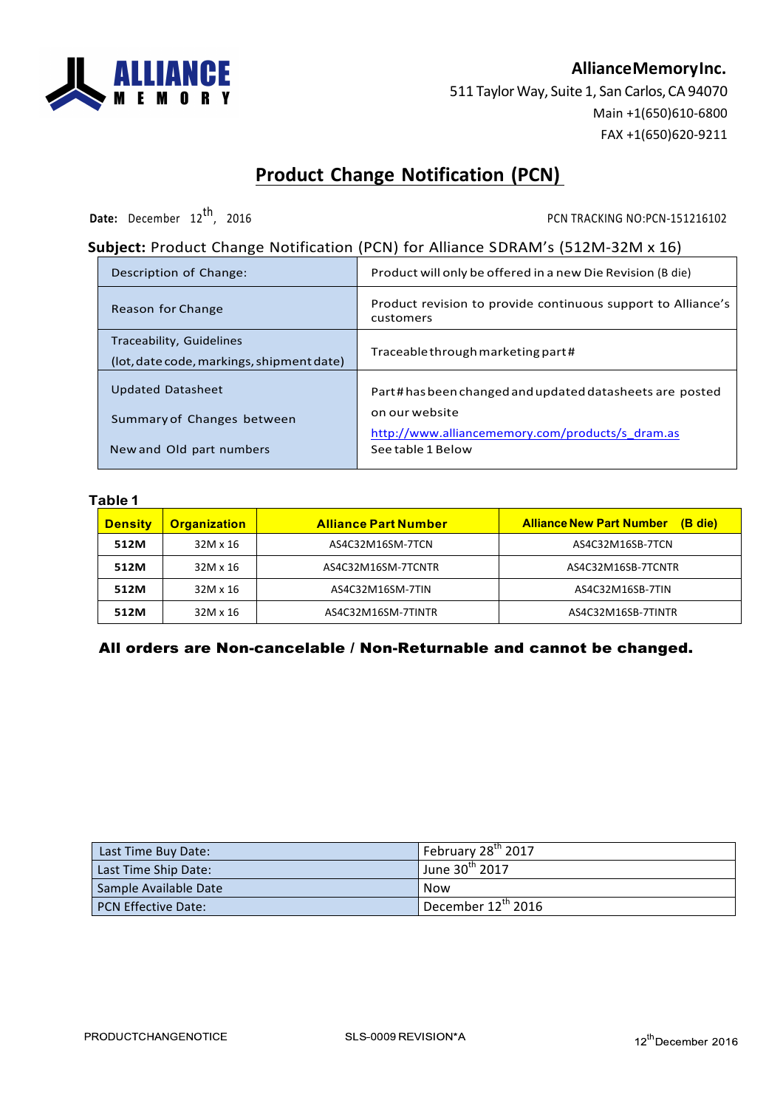

## **AllianceMemoryInc.**

511 Taylor Way, Suite 1, San Carlos, CA 94070 Main +1(650)610-6800 FAX +1(650)620-9211

# **Product Change Notification (PCN)**

**Date:** December 12<sup>th</sup>, 2016 2016 PCN TRACKING NO:PCN-151216102

### **Subject:** Product Change Notification (PCN) for Alliance SDRAM's (512M-32M x 16)

| Description of Change:                                                | Product will only be offered in a new Die Revision (B die)                |
|-----------------------------------------------------------------------|---------------------------------------------------------------------------|
| Reason for Change                                                     | Product revision to provide continuous support to Alliance's<br>customers |
| Traceability, Guidelines<br>(lot, date code, markings, shipment date) | Traceable through marketing part#                                         |
| <b>Updated Datasheet</b>                                              | Part#hasbeen changed and updated datasheets are posted                    |
| Summary of Changes between                                            | on our website<br>http://www.alliancememory.com/products/s dram.as        |
| New and Old part numbers                                              | See table 1 Below                                                         |

#### **Table 1**

| <b>Density</b> | <b>Organization</b> | <b>Alliance Part Number</b> | <b>Alliance New Part Number</b><br>(B die) |  |
|----------------|---------------------|-----------------------------|--------------------------------------------|--|
| 512M           | 32M x 16            | AS4C32M16SM-7TCN            | AS4C32M16SB-7TCN                           |  |
| 512M           | 32M x 16            | AS4C32M16SM-7TCNTR          | AS4C32M16SB-7TCNTR                         |  |
| 512M           | 32M x 16            | AS4C32M16SM-7TIN            | AS4C32M16SB-7TIN                           |  |
| 512M           | 32M x 16            | AS4C32M16SM-7TINTR          | AS4C32M16SB-7TINTR                         |  |

### All orders are Non-cancelable / Non-Returnable and cannot be changed.

| Last Time Buy Date:   | February 28 <sup>th</sup> 2017               |
|-----------------------|----------------------------------------------|
| Last Time Ship Date:  | l June 30 <sup>th</sup> 2017                 |
| Sample Available Date | Now                                          |
| PCN Effective Date:   | $^{\text{T}}$ December 12 <sup>th</sup> 2016 |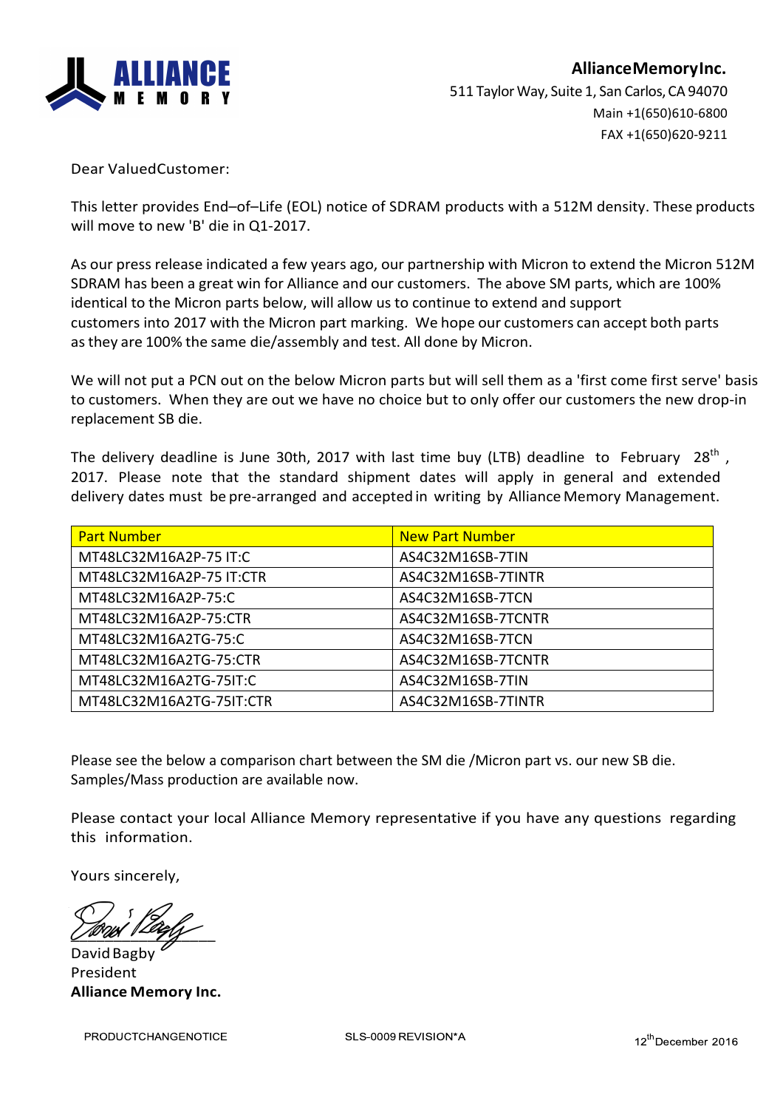

Dear ValuedCustomer: 

This letter provides End-of-Life (EOL) notice of SDRAM products with a 512M density. These products will move to new 'B' die in Q1-2017.

As our press release indicated a few years ago, our partnership with Micron to extend the Micron 512M SDRAM has been a great win for Alliance and our customers. The above SM parts, which are 100% identical to the Micron parts below, will allow us to continue to extend and support customers into 2017 with the Micron part marking. We hope our customers can accept both parts as they are 100% the same die/assembly and test. All done by Micron.

We will not put a PCN out on the below Micron parts but will sell them as a 'first come first serve' basis to customers. When they are out we have no choice but to only offer our customers the new drop-in replacement SB die.

The delivery deadline is June 30th, 2017 with last time buy (LTB) deadline to February 28<sup>th</sup>, 2017. Please note that the standard shipment dates will apply in general and extended delivery dates must be pre-arranged and accepted in writing by Alliance Memory Management.

| <b>Part Number</b>       | <b>New Part Number</b> |
|--------------------------|------------------------|
| MT48LC32M16A2P-75 IT:C   | AS4C32M16SB-7TIN       |
| MT48LC32M16A2P-75 IT:CTR | AS4C32M16SB-7TINTR     |
| MT48LC32M16A2P-75:C      | AS4C32M16SB-7TCN       |
| MT48LC32M16A2P-75:CTR    | AS4C32M16SB-7TCNTR     |
| MT48LC32M16A2TG-75:C     | AS4C32M16SB-7TCN       |
| MT48LC32M16A2TG-75:CTR   | AS4C32M16SB-7TCNTR     |
| MT48LC32M16A2TG-75IT:C   | AS4C32M16SB-7TIN       |
| MT48LC32M16A2TG-75IT:CTR | AS4C32M16SB-7TINTR     |

Please see the below a comparison chart between the SM die /Micron part vs. our new SB die. Samples/Mass production are available now.

Please contact your local Alliance Memory representative if you have any questions regarding this information.

Yours sincerely,

\_\_\_\_\_\_\_\_\_\_\_\_\_\_\_\_\_

David Bagby President **Alliance Memory Inc.**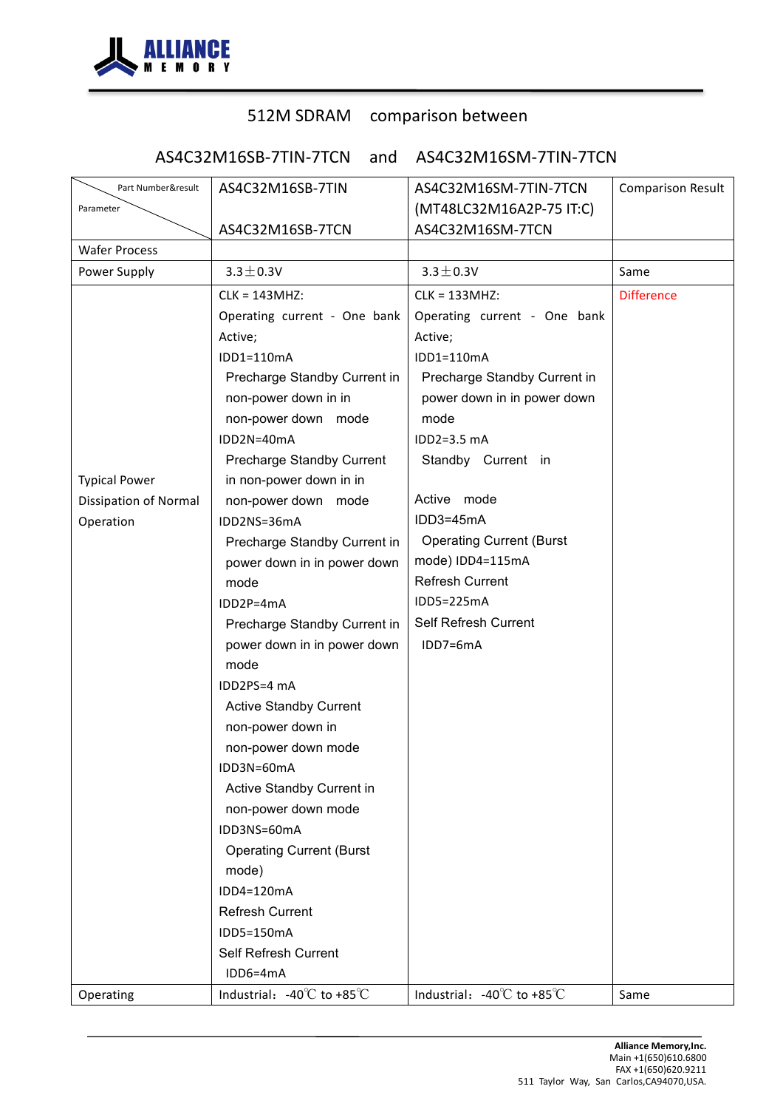

# 512M SDRAM comparison between

AS4C32M16SB-7TIN-7TCN and AS4C32M16SM-7TIN-7TCN

| Part Number&result           | AS4C32M16SB-7TIN                               | AS4C32M16SM-7TIN-7TCN                          | <b>Comparison Result</b> |
|------------------------------|------------------------------------------------|------------------------------------------------|--------------------------|
| Parameter                    |                                                | (MT48LC32M16A2P-75 IT:C)                       |                          |
|                              | AS4C32M16SB-7TCN                               | AS4C32M16SM-7TCN                               |                          |
| <b>Wafer Process</b>         |                                                |                                                |                          |
| Power Supply                 | $3.3 \pm 0.3V$                                 | $3.3 \pm 0.3V$                                 | Same                     |
|                              | CLK = 143MHZ:                                  | CLK = 133MHZ:                                  | <b>Difference</b>        |
|                              | Operating current - One bank                   | Operating current - One bank                   |                          |
|                              | Active;                                        | Active;                                        |                          |
|                              | IDD1=110mA                                     | IDD1=110mA                                     |                          |
|                              | Precharge Standby Current in                   | Precharge Standby Current in                   |                          |
|                              | non-power down in in                           | power down in in power down                    |                          |
|                              | non-power down mode                            | mode                                           |                          |
|                              | IDD2N=40mA                                     | $IDD2=3.5mA$                                   |                          |
|                              | Precharge Standby Current                      | Standby Current in                             |                          |
| <b>Typical Power</b>         | in non-power down in in                        |                                                |                          |
| <b>Dissipation of Normal</b> | non-power down mode                            | Active mode                                    |                          |
| Operation                    | IDD2NS=36mA                                    | IDD3=45mA                                      |                          |
|                              | Precharge Standby Current in                   | <b>Operating Current (Burst</b>                |                          |
|                              | power down in in power down                    | mode) IDD4=115mA                               |                          |
|                              | mode                                           | <b>Refresh Current</b>                         |                          |
|                              | IDD2P=4mA                                      | IDD5=225mA                                     |                          |
|                              | Precharge Standby Current in                   | Self Refresh Current                           |                          |
|                              | power down in in power down                    | IDD7=6mA                                       |                          |
|                              | mode                                           |                                                |                          |
|                              | IDD2PS=4 mA                                    |                                                |                          |
|                              | <b>Active Standby Current</b>                  |                                                |                          |
|                              | non-power down in                              |                                                |                          |
|                              | non-power down mode                            |                                                |                          |
|                              | IDD3N=60mA                                     |                                                |                          |
|                              | Active Standby Current in                      |                                                |                          |
|                              | non-power down mode                            |                                                |                          |
|                              | IDD3NS=60mA                                    |                                                |                          |
|                              | <b>Operating Current (Burst</b>                |                                                |                          |
|                              | mode)                                          |                                                |                          |
|                              | IDD4=120mA                                     |                                                |                          |
|                              | <b>Refresh Current</b>                         |                                                |                          |
|                              | IDD5=150mA                                     |                                                |                          |
|                              | Self Refresh Current                           |                                                |                          |
|                              | IDD6=4mA                                       |                                                |                          |
| Operating                    | Industrial: $-40^{\circ}$ C to $+85^{\circ}$ C | Industrial: $-40^{\circ}$ C to $+85^{\circ}$ C | Same                     |